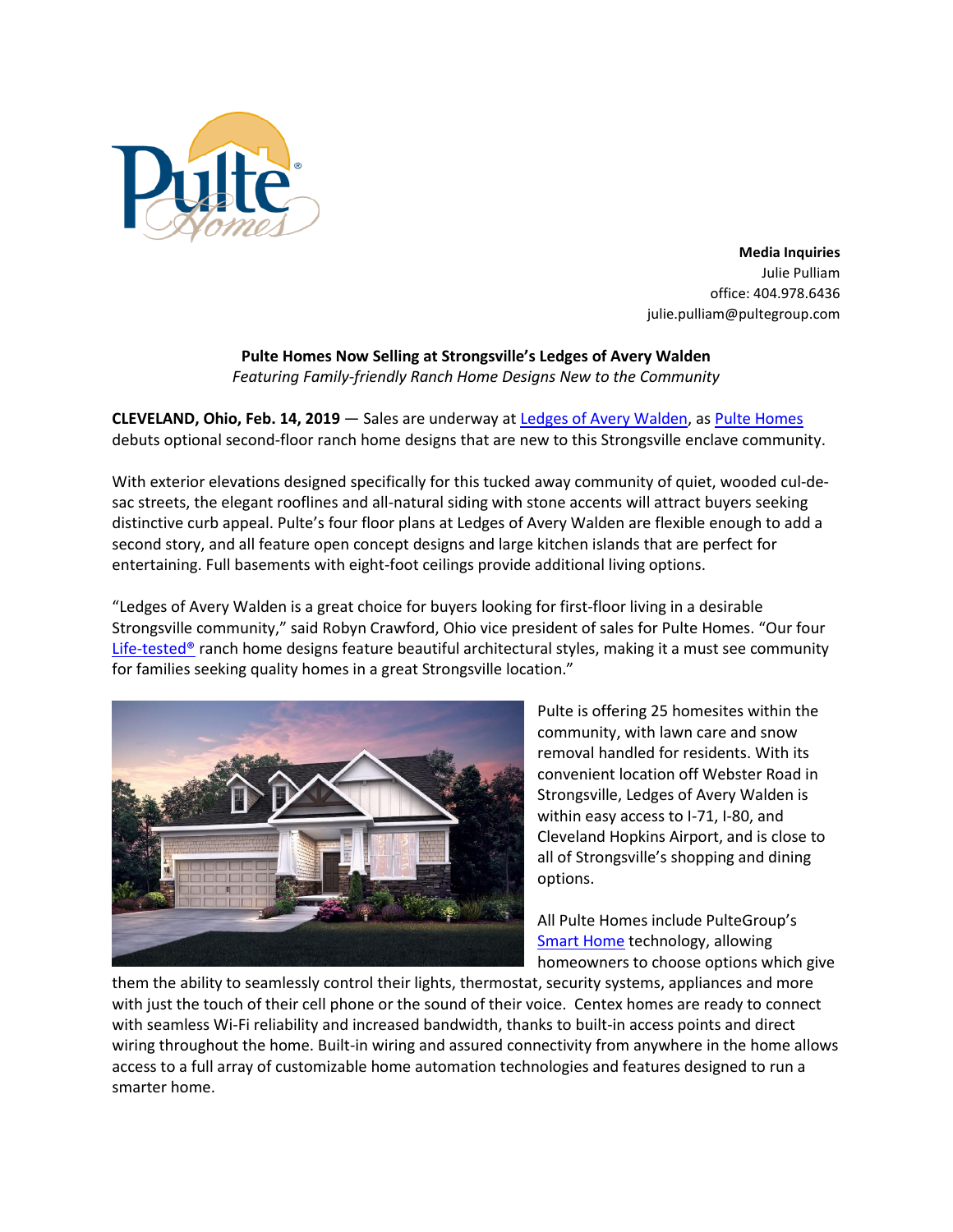

**Media Inquiries** Julie Pulliam office: 404.978.6436 julie.pulliam@pultegroup.com

## **Pulte Homes Now Selling at Strongsville's Ledges of Avery Walden**

*Featuring Family-friendly Ranch Home Designs New to the Community*

**CLEVELAND, Ohio, Feb. 14, 2019** — Sales are underway at [Ledges of Avery Walden,](https://www.pulte.com/homes/ohio/cleveland/strongsville/the-ledges-of-avery-walden-210211) as [Pulte Homes](https://www.pulte.com/) debuts optional second-floor ranch home designs that are new to this Strongsville enclave community.

With exterior elevations designed specifically for this tucked away community of quiet, wooded cul-desac streets, the elegant rooflines and all-natural siding with stone accents will attract buyers seeking distinctive curb appeal. Pulte's four floor plans at Ledges of Avery Walden are flexible enough to add a second story, and all feature open concept designs and large kitchen islands that are perfect for entertaining. Full basements with eight-foot ceilings provide additional living options.

"Ledges of Avery Walden is a great choice for buyers looking for first-floor living in a desirable Strongsville community," said Robyn Crawford, Ohio vice president of sales for Pulte Homes. "Our four Life-tested<sup>®</sup> ranch home designs feature beautiful architectural styles, making it a must see community for families seeking quality homes in a great Strongsville location."



Pulte is offering 25 homesites within the community, with lawn care and snow removal handled for residents. With its convenient location off Webster Road in Strongsville, Ledges of Avery Walden is within easy access to I-71, I-80, and Cleveland Hopkins Airport, and is close to all of Strongsville's shopping and dining options.

All Pulte Homes include PulteGroup's [Smart Home](https://www.pulte.com/pulte-smart-home) technology, allowing homeowners to choose options which give

them the ability to seamlessly control their lights, thermostat, security systems, appliances and more with just the touch of their cell phone or the sound of their voice. Centex homes are ready to connect with seamless Wi-Fi reliability and increased bandwidth, thanks to built-in access points and direct wiring throughout the home. Built-in wiring and assured connectivity from anywhere in the home allows access to a full array of customizable home automation technologies and features designed to run a smarter home.